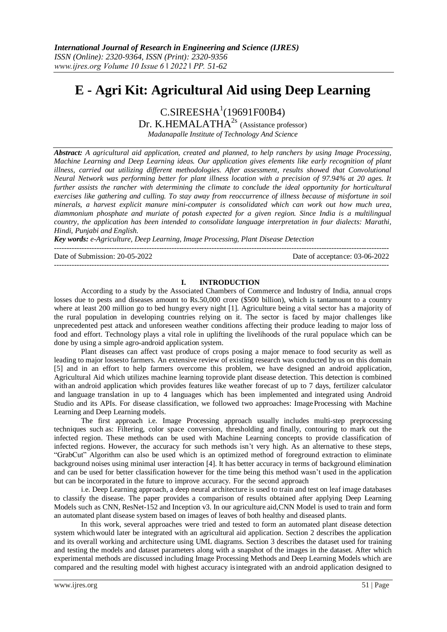# **E - Agri Kit: Agricultural Aid using Deep Learning**

 $C.SIREESHA<sup>1</sup>(19691F00B4)$ 

Dr. K.HEMALATH $A^{2s}$  (Assistance professor) *Madanapalle Institute of Technology And Science*

*Abstract: A agricultural aid application, created and planned, to help ranchers by using Image Processing, Machine Learning and Deep Learning ideas. Our application gives elements like early recognition of plant illness, carried out utilizing different methodologies. After assessment, results showed that Convolutional Neural Network was performing better for plant illness location with a precision of 97.94% at 20 ages. It further assists the rancher with determining the climate to conclude the ideal opportunity for horticultural exercises like gathering and culling. To stay away from reoccurrence of illness because of misfortune in soil minerals, a harvest explicit manure mini-computer is consolidated which can work out how much urea, diammonium phosphate and muriate of potash expected for a given region. Since India is a multilingual country, the application has been intended to consolidate language interpretation in four dialects: Marathi, Hindi, Punjabi and English.*

*Key words: e-Agriculture, Deep Learning, Image Processing, Plant Disease Detection*

--------------------------------------------------------------------------------------------------------------------------------------

Date of Submission: 20-05-2022 Date of acceptance: 03-06-2022

#### **I. INTRODUCTION**

--------------------------------------------------------------------------------------------------------------------------------------

According to a study by the Associated Chambers of Commerce and Industry of India, annual crops losses due to pests and diseases amount to Rs.50,000 crore (\$500 billion), which is tantamount to a country where at least 200 million go to bed hungry every night [1]. Agriculture being a vital sector has a majority of the rural population in developing countries relying on it. The sector is faced by major challenges like unprecedented pest attack and unforeseen weather conditions affecting their produce leading to major loss of food and effort. Technology plays a vital role in uplifting the livelihoods of the rural populace which can be done by using a simple agro-android application system.

Plant diseases can affect vast produce of crops posing a major menace to food security as well as leading to major lossesto farmers. An extensive review of existing research was conducted by us on this domain [5] and in an effort to help farmers overcome this problem, we have designed an android application, Agricultural Aid which utilizes machine learning toprovide plant disease detection. This detection is combined withan android application which provides features like weather forecast of up to 7 days, fertilizer calculator and language translation in up to 4 languages which has been implemented and integrated using Android Studio and its APIs. For disease classification, we followed two approaches: Image Processing with Machine Learning and Deep Learning models.

The first approach i.e. Image Processing approach usually includes multi-step preprocessing techniques such as: Filtering, color space conversion, thresholding and finally, contouring to mark out the infected region. These methods can be used with Machine Learning concepts to provide classification of infected regions. However, the accuracy for such methods isn't very high. As an alternative to these steps, "GrabCut" Algorithm can also be used which is an optimized method of foreground extraction to eliminate background noises using minimal user interaction [4]. It has better accuracy in terms of background elimination and can be used for better classification however for the time being this method wasn't used in the application but can be incorporated in the future to improve accuracy. For the second approach

i.e. Deep Learning approach, a deep neural architecture is used to train and test on leaf image databases to classify the disease. The paper provides a comparison of results obtained after applying Deep Learning Models such as CNN, ResNet-152 and Inception v3. In our agriculture aid,CNN Model is used to train and form an automated plant disease system based on images of leaves of both healthy and diseased plants.

In this work, several approaches were tried and tested to form an automated plant disease detection system whichwould later be integrated with an agricultural aid application. Section 2 describes the application and its overall working and architecture using UML diagrams. Section 3 describes the dataset used for training and testing the models and dataset parameters along with a snapshot of the images in the dataset. After which experimental methods are discussed including Image Processing Methods and Deep Learning Models which are compared and the resulting model with highest accuracy isintegrated with an android application designed to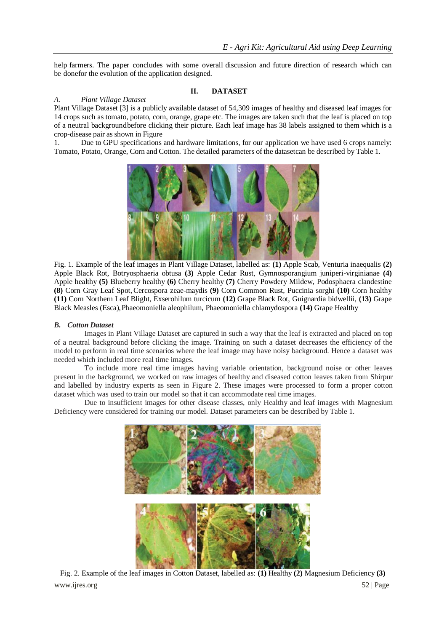help farmers. The paper concludes with some overall discussion and future direction of research which can be donefor the evolution of the application designed.

# **II. DATASET**

### *A. Plant Village Dataset*

Plant Village Dataset [3] is a publicly available dataset of 54,309 images of healthy and diseased leaf images for 14 crops such as tomato, potato, corn, orange, grape etc. The images are taken such that the leaf is placed on top of a neutral backgroundbefore clicking their picture. Each leaf image has 38 labels assigned to them which is a crop-disease pair as shown in Figure

1. Due to GPU specifications and hardware limitations, for our application we have used 6 crops namely: Tomato, Potato, Orange, Corn and Cotton. The detailed parameters of the datasetcan be described by Table 1.



Fig. 1. Example of the leaf images in Plant Village Dataset, labelled as: **(1)** Apple Scab, Venturia inaequalis **(2)**  Apple Black Rot, Botryosphaeria obtusa **(3)** Apple Cedar Rust, Gymnosporangium juniperi-virginianae **(4)** Apple healthy **(5)** Blueberry healthy **(6)** Cherry healthy **(7)** Cherry Powdery Mildew, Podosphaera clandestine **(8)** Corn Gray Leaf Spot,Cercospora zeae-maydis **(9)** Corn Common Rust, Puccinia sorghi **(10)** Corn healthy **(11)** Corn Northern Leaf Blight, Exserohilum turcicum **(12)** Grape Black Rot, Guignardia bidwellii, **(13)** Grape Black Measles (Esca),Phaeomoniella aleophilum, Phaeomoniella chlamydospora **(14)** Grape Healthy

### *B. Cotton Dataset*

Images in Plant Village Dataset are captured in such a way that the leaf is extracted and placed on top of a neutral background before clicking the image. Training on such a dataset decreases the efficiency of the model to perform in real time scenarios where the leaf image may have noisy background. Hence a dataset was needed which included more real time images.

To include more real time images having variable orientation, background noise or other leaves present in the background, we worked on raw images of healthy and diseased cotton leaves taken from Shirpur and labelled by industry experts as seen in Figure 2. These images were processed to form a proper cotton dataset which was used to train our model so that it can accommodate real time images.

Due to insufficient images for other disease classes, only Healthy and leaf images with Magnesium Deficiency were considered for training our model. Dataset parameters can be described by Table 1.



Fig. 2. Example of the leaf images in Cotton Dataset, labelled as: **(1)** Healthy **(2)** Magnesium Deficiency **(3)**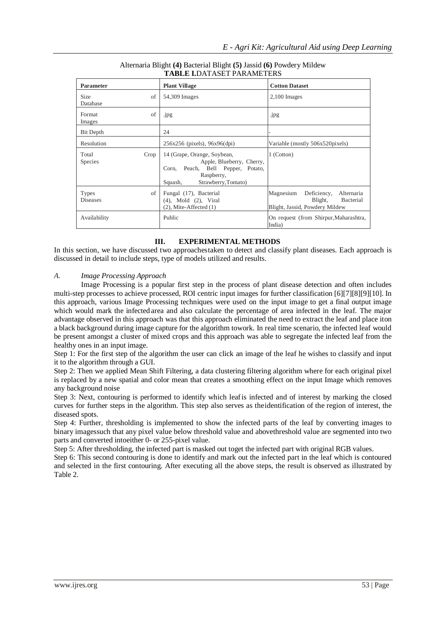| 1 ADDE 1.081600 1 AWARD 10N           |                                                                                                                                                  |                                                                                                         |  |  |
|---------------------------------------|--------------------------------------------------------------------------------------------------------------------------------------------------|---------------------------------------------------------------------------------------------------------|--|--|
| Parameter                             | <b>Plant Village</b>                                                                                                                             | <b>Cotton Dataset</b>                                                                                   |  |  |
| of<br>Size<br>Database                | 54,309 Images                                                                                                                                    | $2,100$ Images                                                                                          |  |  |
| of<br>Format<br>Images                | .jpg                                                                                                                                             | .jpg                                                                                                    |  |  |
| Bit Depth                             | 24                                                                                                                                               |                                                                                                         |  |  |
| Resolution                            | 256x256 (pixels), 96x96(dpi)                                                                                                                     | Variable (mostly 506x520pixels)                                                                         |  |  |
| Total<br>Crop<br><b>Species</b>       | 14 (Grape, Orange, Soybean,<br>Apple, Blueberry, Cherry,<br>Peach, Bell Pepper, Potato,<br>Corn,<br>Raspberry,<br>Strawberry, Tomato)<br>Squash, | 1 (Cotton)                                                                                              |  |  |
| <b>Types</b><br>οf<br><b>Diseases</b> | Fungal (17), Bacterial<br>(4), Mold (2), Viral<br>$(2)$ , Mite-Affected $(1)$                                                                    | Magnesium<br>Deficiency,<br>Alternaria<br>Blight,<br><b>Bacterial</b><br>Blight, Jassid, Powdery Mildew |  |  |
| Availability                          | Public                                                                                                                                           | On request (from Shirpur, Maharashtra,<br>India)                                                        |  |  |

#### Alternaria Blight **(4)** Bacterial Blight **(5)** Jassid **(6)** Powdery Mildew **TABLE I.**DATASET PARAMETERS

# **III. EXPERIMENTAL METHODS**

In this section, we have discussed two approachestaken to detect and classify plant diseases. Each approach is discussed in detail to include steps, type of models utilized and results.

# *A. Image Processing Approach*

Image Processing is a popular first step in the process of plant disease detection and often includes multi-step processes to achieve processed, ROI centric input images for further classification [6][7][8][9][10]. In this approach, various Image Processing techniques were used on the input image to get a final output image which would mark the infected area and also calculate the percentage of area infected in the leaf. The major advantage observed in this approach was that this approach eliminated the need to extract the leaf and place iton a black background during image capture for the algorithm towork. In real time scenario, the infected leaf would be present amongst a cluster of mixed crops and this approach was able to segregate the infected leaf from the healthy ones in an input image.

Step 1: For the first step of the algorithm the user can click an image of the leaf he wishes to classify and input it to the algorithm through a GUI.

Step 2: Then we applied Mean Shift Filtering, a data clustering filtering algorithm where for each original pixel is replaced by a new spatial and color mean that creates a smoothing effect on the input Image which removes any background noise

Step 3: Next, contouring is performed to identify which leafis infected and of interest by marking the closed curves for further steps in the algorithm. This step also serves as theidentification of the region of interest, the diseased spots.

Step 4: Further, thresholding is implemented to show the infected parts of the leaf by converting images to binary imagessuch that any pixel value below threshold value and abovethreshold value are segmented into two parts and converted intoeither 0- or 255-pixel value.

Step 5: After thresholding, the infected part is masked out toget the infected part with original RGB values.

Step 6: This second contouring is done to identify and mark out the infected part in the leaf which is contoured and selected in the first contouring. After executing all the above steps, the result is observed as illustrated by Table 2.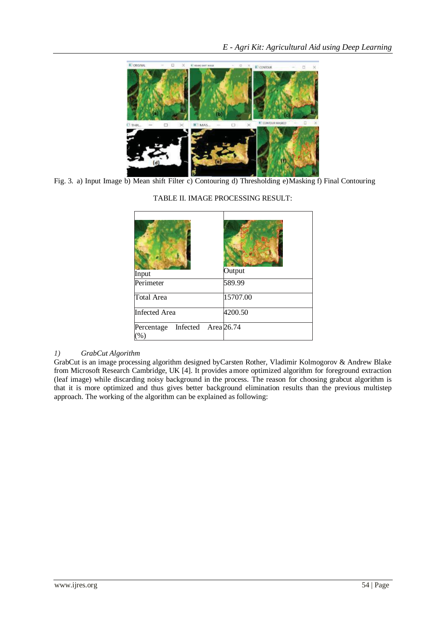

Fig. 3. a) Input Image b) Mean shift Filter c) Contouring d) Thresholding e)Masking f) Final Contouring

| Input                         | Output     |
|-------------------------------|------------|
| Perimeter                     | 589.99     |
| Total Area                    | 15707.00   |
| <b>Infected Area</b>          | 4200.50    |
| Infected<br>Percentage<br>(%) | Area 26.74 |

# TABLE II. IMAGE PROCESSING RESULT:

# *1) GrabCut Algorithm*

GrabCut is an image processing algorithm designed byCarsten Rother, Vladimir Kolmogorov & Andrew Blake from Microsoft Research Cambridge, UK [4]. It provides amore optimized algorithm for foreground extraction (leaf image) while discarding noisy background in the process. The reason for choosing grabcut algorithm is that it is more optimized and thus gives better background elimination results than the previous multistep approach. The working of the algorithm can be explained as following: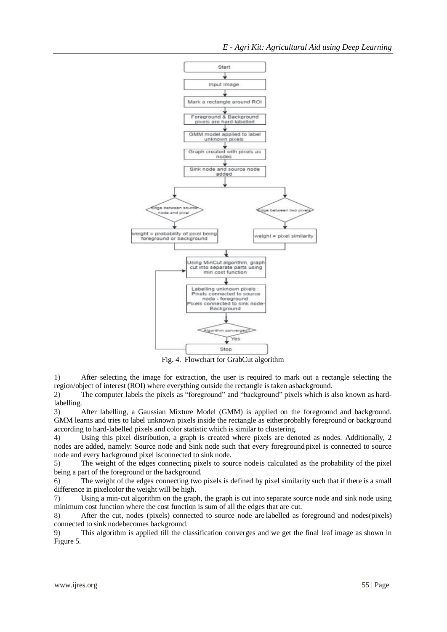

Fig. 4. Flowchart for GrabCut algorithm

1) After selecting the image for extraction, the user is required to mark out a rectangle selecting the region/object of interest (ROI) where everything outside the rectangle is taken asbackground.

2) The computer labels the pixels as "foreground" and "background" pixels which is also known as hardlabelling.

3) After labelling, a Gaussian Mixture Model (GMM) is applied on the foreground and background. GMM learns and tries to label unknown pixels inside the rectangle as eitherprobably foreground or background according to hard-labelled pixels and color statistic which is similar to clustering.

4) Using this pixel distribution, a graph is created where pixels are denoted as nodes. Additionally, 2 nodes are added, namely: Source node and Sink node such that every foreground pixel is connected to source node and every background pixel isconnected to sink node.

5) The weight of the edges connecting pixels to source nodeis calculated as the probability of the pixel being a part of the foreground or the background.

6) The weight of the edges connecting two pixels is defined by pixel similarity such that if there is a small difference in pixelcolor the weight will be high.

7) Using a min-cut algorithm on the graph, the graph is cut into separate source node and sink node using minimum cost function where the cost function is sum of all the edges that are cut.

8) After the cut, nodes (pixels) connected to source node are labelled as foreground and nodes(pixels) connected to sink nodebecomes background.

9) This algorithm is applied till the classification converges and we get the final leaf image as shown in Figure 5.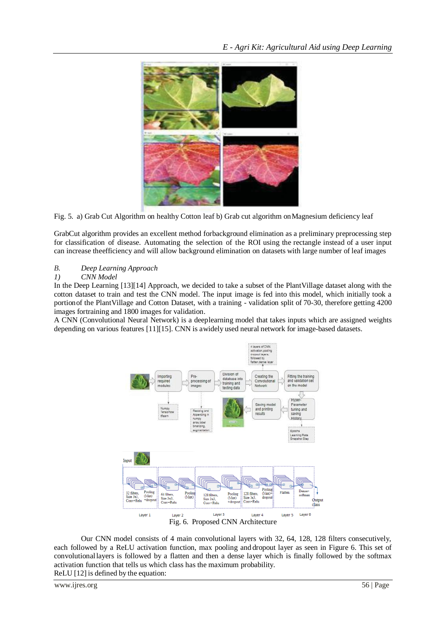

Fig. 5. a) Grab Cut Algorithm on healthy Cotton leaf b) Grab cut algorithm onMagnesium deficiency leaf

GrabCut algorithm provides an excellent method forbackground elimination as a preliminary preprocessing step for classification of disease. Automating the selection of the ROI using the rectangle instead of a user input can increase theefficiency and will allow background elimination on datasets with large number of leaf images

# *B. Deep Learning Approach*

# *1) CNN Model*

In the Deep Learning [13][14] Approach, we decided to take a subset of the PlantVillage dataset along with the cotton dataset to train and test the CNN model. The input image is fed into this model, which initially took a portionof the PlantVillage and Cotton Dataset, with a training - validation split of 70-30, therefore getting 4200 images fortraining and 1800 images for validation.

A CNN (Convolutional Neural Network) is a deeplearning model that takes inputs which are assigned weights depending on various features [11][15]. CNN is awidely used neural network for image-based datasets.



Our CNN model consists of 4 main convolutional layers with 32, 64, 128, 128 filters consecutively, each followed by a ReLU activation function, max pooling and dropout layer as seen in Figure 6. This set of convolutionallayers is followed by a flatten and then a dense layer which is finally followed by the softmax activation function that tells us which class has the maximum probability. ReLU [12] is defined by the equation: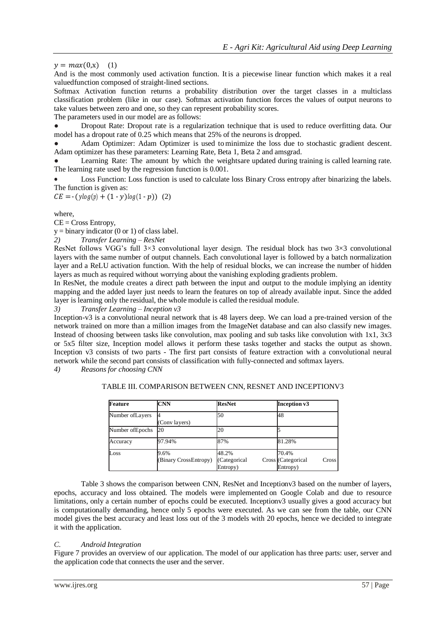# $y = max(0,x)$  (1)

And is the most commonly used activation function. It is a piecewise linear function which makes it a real valuedfunction composed of straight-lined sections.

Softmax Activation function returns a probability distribution over the target classes in a multiclass classification problem (like in our case). Softmax activation function forces the values of output neurons to take values between zero and one, so they can represent probability scores.

The parameters used in our model are as follows:

● Dropout Rate: Dropout rate is a regularization technique that is used to reduce overfitting data. Our model has a dropout rate of 0.25 which means that 25% of the neurons is dropped.

Adam Optimizer: Adam Optimizer is used to minimize the loss due to stochastic gradient descent. Adam optimizer has these parameters: Learning Rate, Beta 1, Beta 2 and amsgrad.

Learning Rate: The amount by which the weightsare updated during training is called learning rate. The learning rate used by the regression function is 0.001.

 Loss Function: Loss function is used to calculate loss Binary Cross entropy after binarizing the labels. The function is given as:

 $CE = -( \text{ylog}(p) + (1 - \text{y}) \text{log}(1 - p))$  (2)

where,

 $CE = Cross Entropy$ ,

 $y = binary indicator (0 or 1) of class label.$ 

*2) Transfer Learning – ResNet*

ResNet follows VGG's full 3×3 convolutional layer design. The residual block has two 3×3 convolutional layers with the same number of output channels. Each convolutional layer is followed by a batch normalization layer and a ReLU activation function. With the help of residual blocks, we can increase the number of hidden layers as much as required without worrying about the vanishing exploding gradients problem.

In ResNet, the module creates a direct path between the input and output to the module implying an identity mapping and the added layer just needs to learn the features on top of already available input. Since the added layer is learning only the residual, the whole module is called the residual module.

*3) Transfer Learning – Inception v3*

Inception-v3 is a convolutional neural network that is 48 layers deep. We can load a pre-trained version of the network trained on more than a million images from the ImageNet database and can also classify new images. Instead of choosing between tasks like convolution, max pooling and sub tasks like convolution with 1x1, 3x3 or 5x5 filter size, Inception model allows it perform these tasks together and stacks the output as shown. Inception v3 consists of two parts - The first part consists of feature extraction with a convolutional neural network while the second part consists of classification with fully-connected and softmax layers.

*4) Reasons for choosing CNN*

| Feature          | <b>CNN</b>                    | <b>ResNet</b>                     | Inception v3                                     |
|------------------|-------------------------------|-----------------------------------|--------------------------------------------------|
| Number of Layers | (Conv layers)                 | 50                                | 48                                               |
| Number of Epochs | 20                            | 20                                |                                                  |
| Accuracy         | 97.94%                        | 87%                               | 81.28%                                           |
| $_{\text{Loss}}$ | 9.6%<br>(Binary CrossEntropy) | 48.2%<br>(Categorical<br>Entropy) | 70.4%<br>Cross (Categorical<br>Cross<br>Entropy) |

TABLE III. COMPARISON BETWEEN CNN, RESNET AND INCEPTIONV3

Table 3 shows the comparison between CNN, ResNet and Inceptionv3 based on the number of layers, epochs, accuracy and loss obtained. The models were implemented on Google Colab and due to resource limitations, only a certain number of epochs could be executed. Inceptionv3 usually gives a good accuracy but is computationally demanding, hence only 5 epochs were executed. As we can see from the table, our CNN model gives the best accuracy and least loss out of the 3 models with 20 epochs, hence we decided to integrate it with the application.

### *C. Android Integration*

Figure 7 provides an overview of our application. The model of our application has three parts: user, server and the application code that connects the user and the server.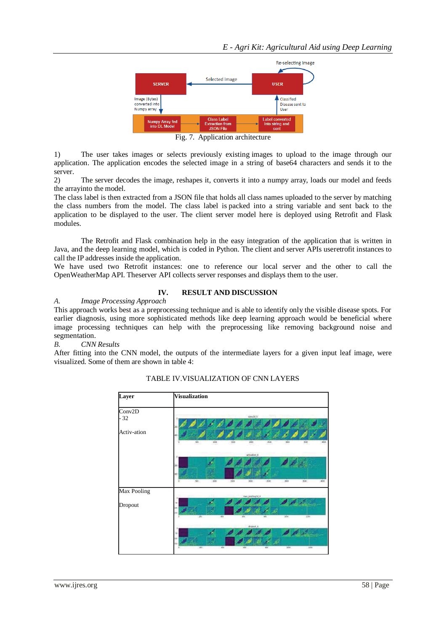

Fig. 7. Application architecture

1) The user takes images or selects previously existing images to upload to the image through our application. The application encodes the selected image in a string of base64 characters and sends it to the server.<br>2)

2) The server decodes the image, reshapes it, converts it into a numpy array, loads our model and feeds the arrayinto the model.

The class label is then extracted from a JSON file that holds all class names uploaded to the server by matching the class numbers from the model. The class label is packed into a string variable and sent back to the application to be displayed to the user. The client server model here is deployed using Retrofit and Flask modules.

The Retrofit and Flask combination help in the easy integration of the application that is written in Java, and the deep learning model, which is coded in Python. The client and server APIs useretrofit instances to call the IP addresses inside the application.

We have used two Retrofit instances: one to reference our local server and the other to call the OpenWeatherMap API. Theserver API collects server responses and displays them to the user.

# **IV. RESULT AND DISCUSSION**

*A. Image Processing Approach*

This approach works best as a preprocessing technique and is able to identify only the visible disease spots. For earlier diagnosis, using more sophisticated methods like deep learning approach would be beneficial where image processing techniques can help with the preprocessing like removing background noise and segmentation.

#### *B. CNN Results*

After fitting into the CNN model, the outputs of the intermediate layers for a given input leaf image, were visualized. Some of them are shown in table 4:



### TABLE IV.VISUALIZATION OF CNN LAYERS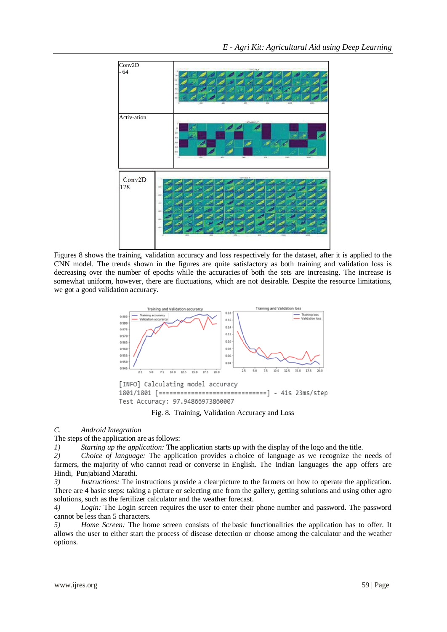

Figures 8 shows the training, validation accuracy and loss respectively for the dataset, after it is applied to the CNN model. The trends shown in the figures are quite satisfactory as both training and validation loss is decreasing over the number of epochs while the accuracies of both the sets are increasing. The increase is somewhat uniform, however, there are fluctuations, which are not desirable. Despite the resource limitations, we got a good validation accuracy.



Fig. 8. Training, Validation Accuracy and Loss

# *C. Android Integration*

The steps of the application are as follows:

*1) Starting up the application:* The application starts up with the display of the logo and the title.

*2) Choice of language:* The application provides a choice of language as we recognize the needs of farmers, the majority of who cannot read or converse in English. The Indian languages the app offers are Hindi, Punjabiand Marathi.

*3) Instructions:* The instructions provide a clearpicture to the farmers on how to operate the application. There are 4 basic steps: taking a picture or selecting one from the gallery, getting solutions and using other agro solutions, such as the fertilizer calculator and the weather forecast.

*4) Login:* The Login screen requires the user to enter their phone number and password. The password cannot be less than 5 characters.

*5) Home Screen:* The home screen consists of the basic functionalities the application has to offer. It allows the user to either start the process of disease detection or choose among the calculator and the weather options.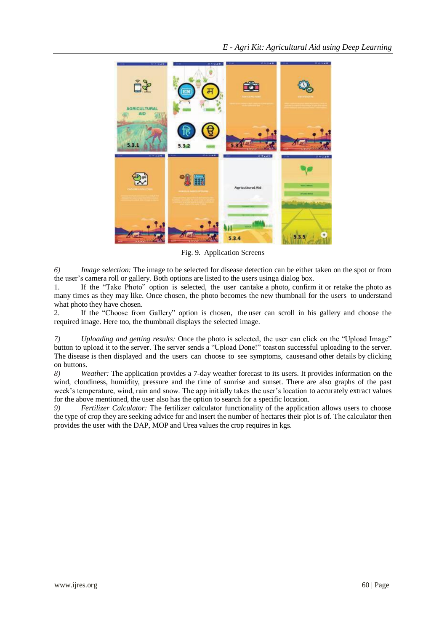

Fig. 9. Application Screens

*6) Image selection:* The image to be selected for disease detection can be either taken on the spot or from the user's camera roll or gallery. Both options are listed to the users usinga dialog box.

1. If the "Take Photo" option is selected, the user cantake a photo, confirm it or retake the photo as many times as they may like. Once chosen, the photo becomes the new thumbnail for the users to understand what photo they have chosen.

2. If the "Choose from Gallery" option is chosen, the user can scroll in his gallery and choose the required image. Here too, the thumbnail displays the selected image.

*7) Uploading and getting results:* Once the photo is selected, the user can click on the "Upload Image" button to upload it to the server. The server sends a "Upload Done!" toaston successful uploading to the server. The disease is then displayed and the users can choose to see symptoms, causesand other details by clicking on buttons.<br> $8)$  W

*8) Weather:* The application provides a 7-day weather forecast to its users. It provides information on the wind, cloudiness, humidity, pressure and the time of sunrise and sunset. There are also graphs of the past week's temperature, wind, rain and snow. The app initially takes the user's location to accurately extract values for the above mentioned, the user also has the option to search for a specific location.

*9) Fertilizer Calculator:* The fertilizer calculator functionality of the application allows users to choose the type of crop they are seeking advice for and insert the number of hectares their plot is of. The calculator then provides the user with the DAP, MOP and Urea values the crop requires in kgs.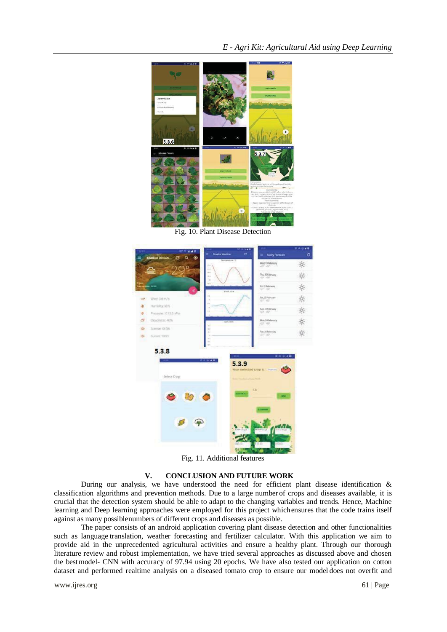

Fig. 10. Plant Disease Detection



Fig. 11. Additional features

#### **V. CONCLUSION AND FUTURE WORK**

During our analysis, we have understood the need for efficient plant disease identification  $\&$ classification algorithms and prevention methods. Due to a large number of crops and diseases available, it is crucial that the detection system should be able to adapt to the changing variables and trends. Hence, Machine learning and Deep learning approaches were employed for this project whichensures that the code trains itself against as many possiblenumbers of different crops and diseases as possible.

The paper consists of an android application covering plant disease detection and other functionalities such as language translation, weather forecasting and fertilizer calculator. With this application we aim to provide aid in the unprecedented agricultural activities and ensure a healthy plant. Through our thorough literature review and robust implementation, we have tried several approaches as discussed above and chosen the bestmodel- CNN with accuracy of 97.94 using 20 epochs. We have also tested our application on cotton dataset and performed realtime analysis on a diseased tomato crop to ensure our model does not overfit and